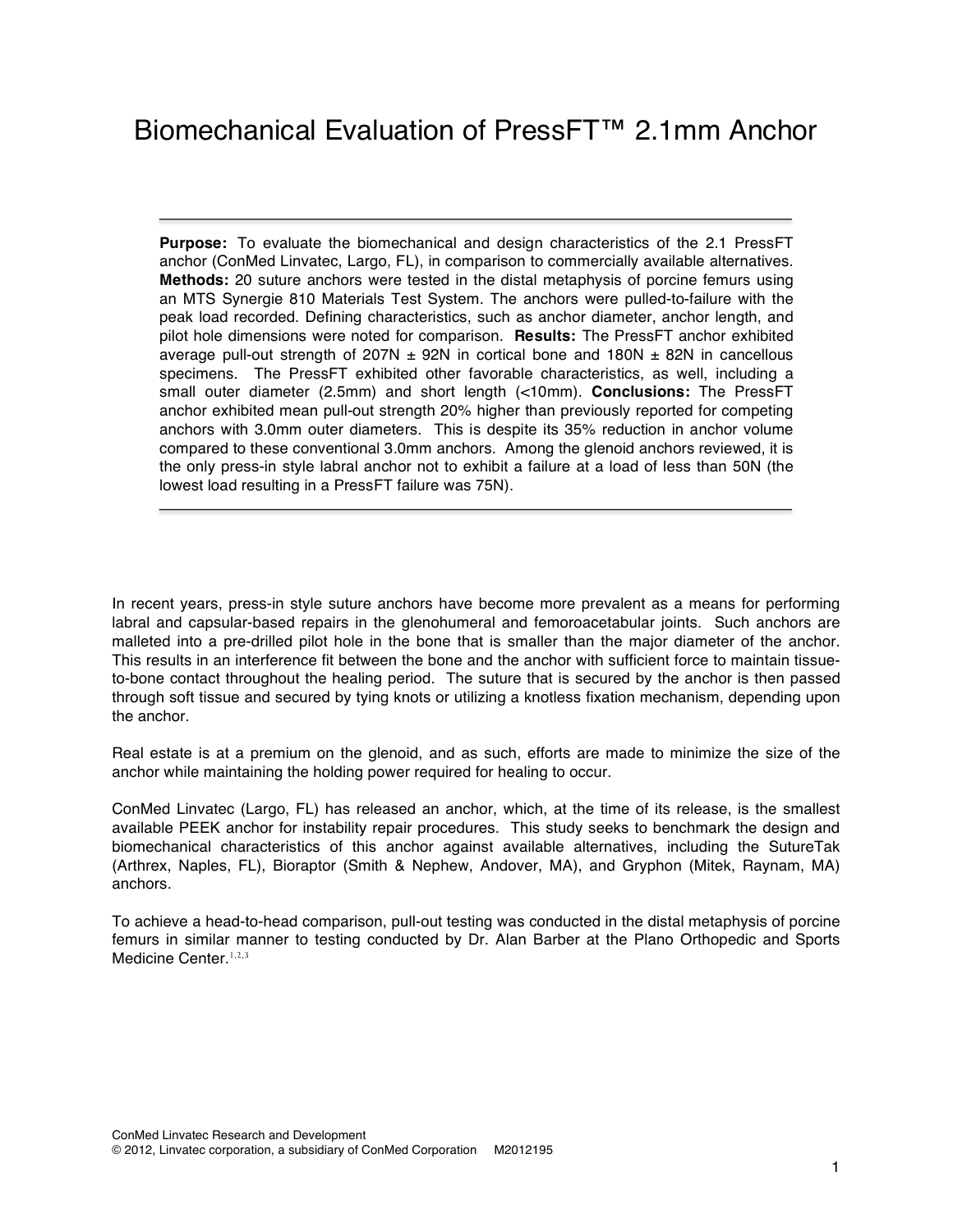**Purpose:** To evaluate the biomechanical and design characteristics of the 2.1 PressFT anchor (ConMed Linvatec, Largo, FL), in comparison to commercially available alternatives. **Methods:** 20 suture anchors were tested in the distal metaphysis of porcine femurs using an MTS Synergie 810 Materials Test System. The anchors were pulled-to-failure with the peak load recorded. Defining characteristics, such as anchor diameter, anchor length, and pilot hole dimensions were noted for comparison. **Results:** The PressFT anchor exhibited average pull-out strength of 207N  $\pm$  92N in cortical bone and 180N  $\pm$  82N in cancellous specimens. The PressFT exhibited other favorable characteristics, as well, including a small outer diameter (2.5mm) and short length (<10mm). **Conclusions:** The PressFT anchor exhibited mean pull-out strength 20% higher than previously reported for competing anchors with 3.0mm outer diameters. This is despite its 35% reduction in anchor volume compared to these conventional 3.0mm anchors. Among the glenoid anchors reviewed, it is the only press-in style labral anchor not to exhibit a failure at a load of less than 50N (the lowest load resulting in a PressFT failure was 75N).

In recent years, press-in style suture anchors have become more prevalent as a means for performing labral and capsular-based repairs in the glenohumeral and femoroacetabular joints. Such anchors are malleted into a pre-drilled pilot hole in the bone that is smaller than the major diameter of the anchor. This results in an interference fit between the bone and the anchor with sufficient force to maintain tissueto-bone contact throughout the healing period. The suture that is secured by the anchor is then passed through soft tissue and secured by tying knots or utilizing a knotless fixation mechanism, depending upon the anchor.

Real estate is at a premium on the glenoid, and as such, efforts are made to minimize the size of the anchor while maintaining the holding power required for healing to occur.

ConMed Linvatec (Largo, FL) has released an anchor, which, at the time of its release, is the smallest available PEEK anchor for instability repair procedures. This study seeks to benchmark the design and biomechanical characteristics of this anchor against available alternatives, including the SutureTak (Arthrex, Naples, FL), Bioraptor (Smith & Nephew, Andover, MA), and Gryphon (Mitek, Raynam, MA) anchors.

To achieve a head-to-head comparison, pull-out testing was conducted in the distal metaphysis of porcine femurs in similar manner to testing conducted by Dr. Alan Barber at the Plano Orthopedic and Sports Medicine Center.<sup>1,2,3</sup>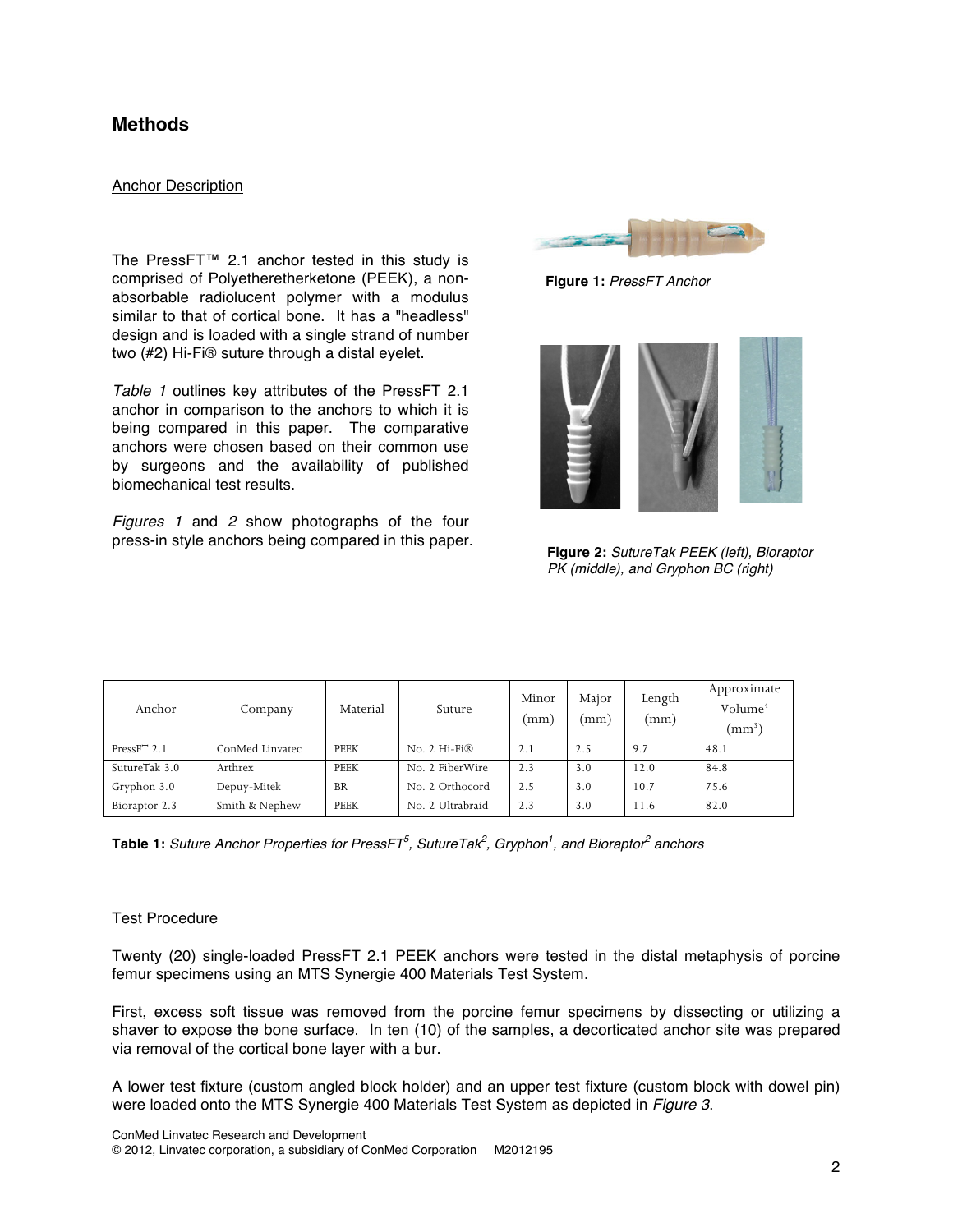## **Methods**

### Anchor Description

The PressFT™ 2.1 anchor tested in this study is comprised of Polyetheretherketone (PEEK), a nonabsorbable radiolucent polymer with a modulus similar to that of cortical bone. It has a "headless" design and is loaded with a single strand of number two (#2) Hi-Fi® suture through a distal eyelet.

*Table 1* outlines key attributes of the PressFT 2.1 anchor in comparison to the anchors to which it is being compared in this paper. The comparative anchors were chosen based on their common use by surgeons and the availability of published biomechanical test results.

*Figures 1* and *2* show photographs of the four press-in style anchors being compared in this paper.



**Figure 1:** *PressFT Anchor*



**Figure 2:** *SutureTak PEEK (left), Bioraptor PK (middle), and Gryphon BC (right)*

| Anchor        | Company         | Material    | Suture           | Minor<br>(mm | Major<br>(mm) | Length<br>(mm) | Approximate<br>Volume <sup>4</sup><br>$\rm (mm^3)$ |
|---------------|-----------------|-------------|------------------|--------------|---------------|----------------|----------------------------------------------------|
| PressFT 2.1   | ConMed Linvatec | PEEK        | No. 2 Hi-Fi®     | 2.1          | 2.5           | 9.7            | 48.1                                               |
| SutureTak 3.0 | Arthrex         | PEEK        | No. 2 FiberWire  | 2.3          | 3.0           | 12.0           | 84.8                                               |
| Gryphon 3.0   | Depuy-Mitek     | <b>BR</b>   | No. 2 Orthocord  | 2.5          | 3.0           | 10.7           | 75.6                                               |
| Bioraptor 2.3 | Smith & Nephew  | <b>PEEK</b> | No. 2 Ultrabraid | 2.3          | 3.0           | l 1.6          | 82.0                                               |

 $\bf{Table 1:}$  *Suture Anchor Properties for PressFT* $^5$ *, SutureTak* $^2$ *, Gryphon* $^1$ *, and Bioraptor* $^2$  *anchors* 

### Test Procedure

Twenty (20) single-loaded PressFT 2.1 PEEK anchors were tested in the distal metaphysis of porcine femur specimens using an MTS Synergie 400 Materials Test System.

First, excess soft tissue was removed from the porcine femur specimens by dissecting or utilizing a shaver to expose the bone surface. In ten (10) of the samples, a decorticated anchor site was prepared via removal of the cortical bone layer with a bur.

A lower test fixture (custom angled block holder) and an upper test fixture (custom block with dowel pin) were loaded onto the MTS Synergie 400 Materials Test System as depicted in *Figure 3*.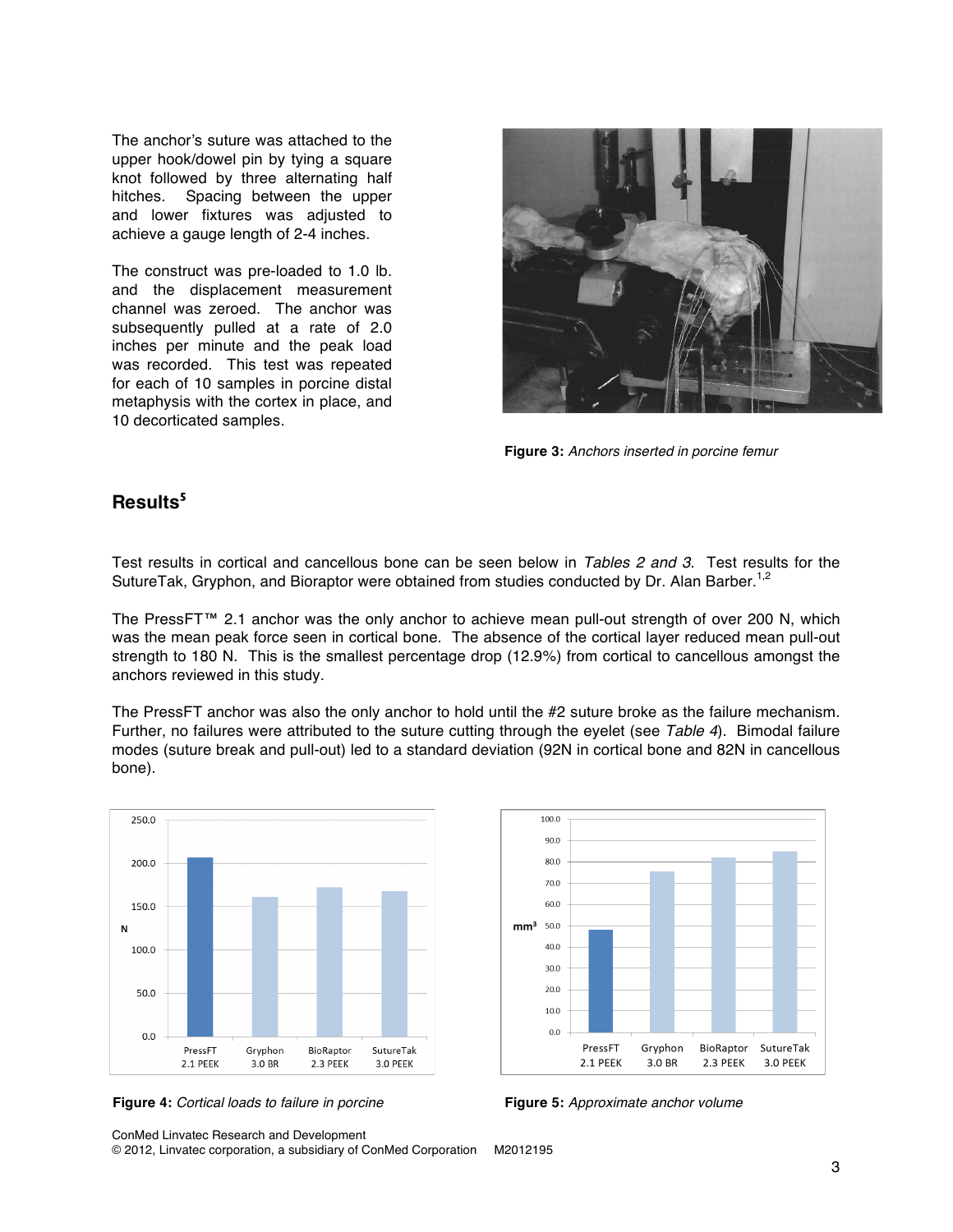The anchor's suture was attached to the upper hook/dowel pin by tying a square knot followed by three alternating half hitches. Spacing between the upper and lower fixtures was adjusted to achieve a gauge length of 2-4 inches.

The construct was pre-loaded to 1.0 lb. and the displacement measurement channel was zeroed. The anchor was subsequently pulled at a rate of 2.0 inches per minute and the peak load was recorded. This test was repeated for each of 10 samples in porcine distal metaphysis with the cortex in place, and 10 decorticated samples.



**Figure 3:** *Anchors inserted in porcine femur*

# **Results<sup>5</sup>**

Test results in cortical and cancellous bone can be seen below in *Tables 2 and 3*. Test results for the SutureTak, Gryphon, and Bioraptor were obtained from studies conducted by Dr. Alan Barber.<sup>1,2</sup>

The PressFT™ 2.1 anchor was the only anchor to achieve mean pull-out strength of over 200 N, which was the mean peak force seen in cortical bone. The absence of the cortical layer reduced mean pull-out strength to 180 N. This is the smallest percentage drop (12.9%) from cortical to cancellous amongst the anchors reviewed in this study.

The PressFT anchor was also the only anchor to hold until the #2 suture broke as the failure mechanism. Further, no failures were attributed to the suture cutting through the eyelet (see *Table 4*). Bimodal failure modes (suture break and pull-out) led to a standard deviation (92N in cortical bone and 82N in cancellous bone).



100.0  $90.0$ 80.0 70.0 60.0 50.0  $mm<sup>3</sup>$ 40.0 30.0  $20.0$ 10.0  $0.0$ PressFT Gryphon BioRaptor SutureTak 2.1 PEEK  $3.0\;\ensuremath{\mathrm{BR}}$ 2.3 PEEK 3.0 PEEK

**Figure 4:** *Cortical loads to failure in porcine* **Figure 5:** *Approximate anchor volume*

ConMed Linvatec Research and Development

© 2012, Linvatec corporation, a subsidiary of ConMed Corporation M2012195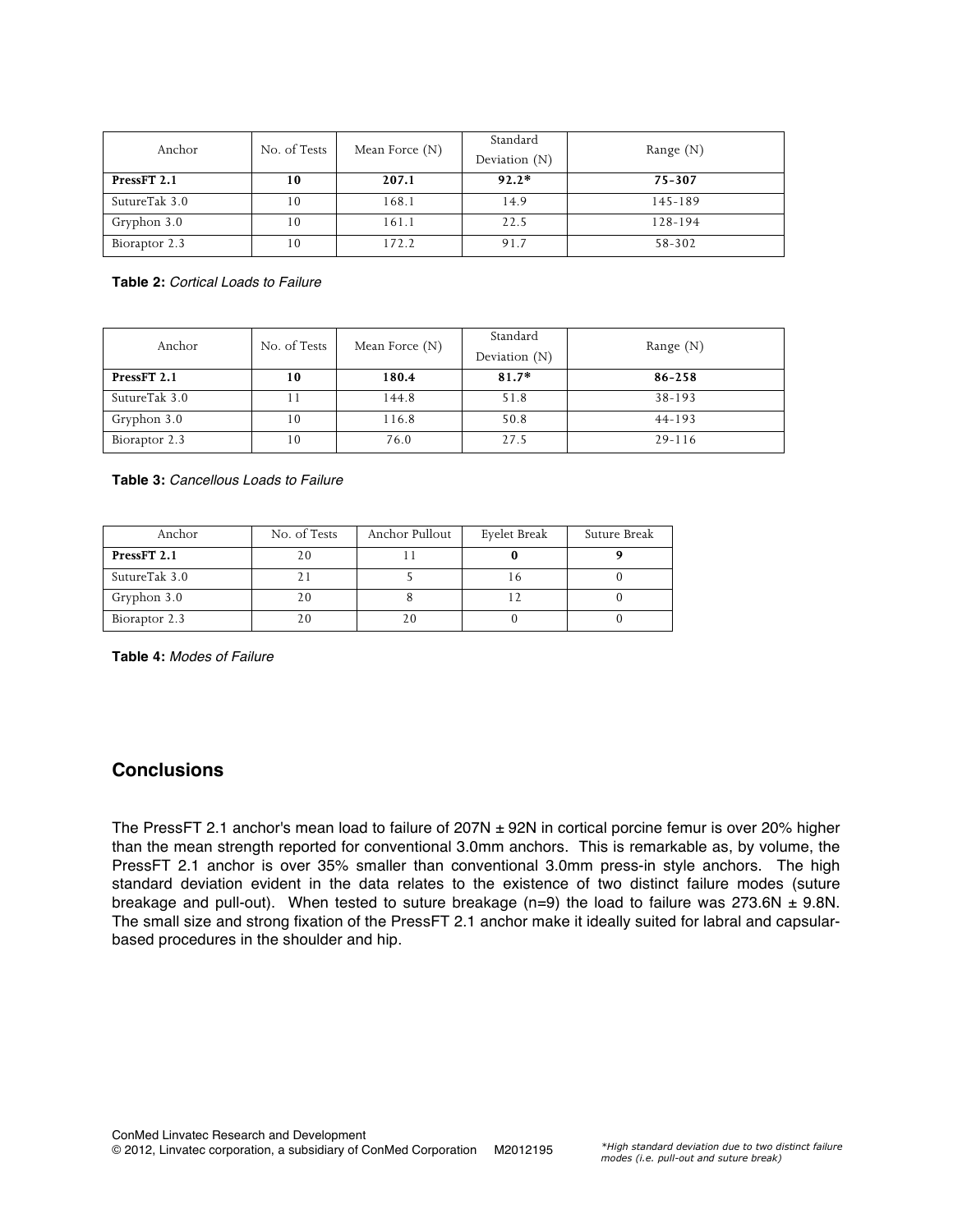| Anchor        | No. of Tests | Mean Force $(N)$ | Standard<br>Deviation $(N)$ | Range $(N)$ |
|---------------|--------------|------------------|-----------------------------|-------------|
| PressFT 2.1   | 10           | 207.1            | $92.2*$                     | 75-307      |
| SutureTak 3.0 | 10           | 168.1            | 14.9                        | 145-189     |
| Gryphon 3.0   | 10           | 161.1            | 22.5                        | 128-194     |
| Bioraptor 2.3 | 10           | 172.2            | 91.7                        | 58-302      |

**Table 2:** *Cortical Loads to Failure*

| Anchor        | No. of Tests | Mean Force $(N)$ | Standard<br>Deviation $(N)$ | Range $(N)$ |
|---------------|--------------|------------------|-----------------------------|-------------|
| PressFT 2.1   | 10           | 180.4            | $81.7*$                     | 86-258      |
| SutureTak 3.0 |              | 144.8            | 51.8                        | $38-193$    |
| Gryphon 3.0   | 10           | 116.8            | 50.8                        | $44 - 193$  |
| Bioraptor 2.3 | 10           | 76.0             | 27.5                        | $29 - 116$  |

**Table 3:** *Cancellous Loads to Failure*

| Anchor        | No. of Tests | Anchor Pullout | Eyelet Break | Suture Break |
|---------------|--------------|----------------|--------------|--------------|
| PressFT 2.1   |              |                |              |              |
| SutureTak 3.0 |              |                |              |              |
| Gryphon 3.0   |              |                |              |              |
| Bioraptor 2.3 |              |                |              |              |

**Table 4:** *Modes of Failure*

# **Conclusions**

The PressFT 2.1 anchor's mean load to failure of  $207N \pm 92N$  in cortical porcine femur is over 20% higher than the mean strength reported for conventional 3.0mm anchors. This is remarkable as, by volume, the PressFT 2.1 anchor is over 35% smaller than conventional 3.0mm press-in style anchors. The high standard deviation evident in the data relates to the existence of two distinct failure modes (suture breakage and pull-out). When tested to suture breakage (n=9) the load to failure was  $273.6N \pm 9.8N$ . The small size and strong fixation of the PressFT 2.1 anchor make it ideally suited for labral and capsularbased procedures in the shoulder and hip.